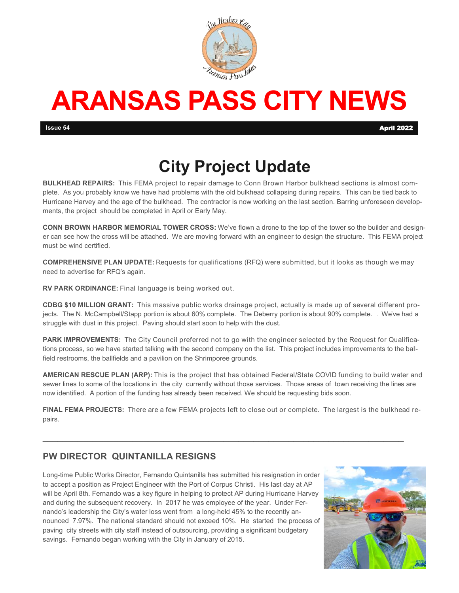

# **ARANSAS PASS CITY NEWS**

## **City Project Update**

**BULKHEAD REPAIRS:** This FEMA project to repair damage to Conn Brown Harbor bulkhead sections is almost complete. As you probably know we have had problems with the old bulkhead collapsing during repairs. This can be tied back to Hurricane Harvey and the age of the bulkhead. The contractor is now working on the last section. Barring unforeseen developments, the project should be completed in April or Early May.

**CONN BROWN HARBOR MEMORIAL TOWER CROSS:** We've flown a drone to the top of the tower so the builder and designer can see how the cross will be attached. We are moving forward with an engineer to design the structure. This FEMA project must be wind certified.

**COMPREHENSIVE PLAN UPDATE:** Requests for qualifications (RFQ) were submitted, but it looks as though we may need to advertise for RFQ's again.

**RV PARK ORDINANCE:** Final language is being worked out.

**CDBG \$10 MILLION GRANT:** This massive public works drainage project, actually is made up of several different projects. The N. McCampbell/Stapp portion is about 60% complete. The Deberry portion is about 90% complete. . We've had a struggle with dust in this project. Paving should start soon to help with the dust.

**PARK IMPROVEMENTS:** The City Council preferred not to go with the engineer selected by the Request for Qualifications process, so we have started talking with the second company on the list. This project includes improvements to the ballfield restrooms, the ballfields and a pavilion on the Shrimporee grounds.

**AMERICAN RESCUE PLAN (ARP):** This is the project that has obtained Federal/State COVID funding to build water and sewer lines to some of the locations in the city currently without those services. Those areas of town receiving the lines are now identified. A portion of the funding has already been received. We should be requesting bids soon.

**FINAL FEMA PROJECTS:** There are a few FEMA projects left to close out or complete. The largest is the bulkhead repairs.

 $\mathcal{L}_\text{max} = \{ \mathcal{L}_\text{max} = \{ \mathcal{L}_\text{max} \mid \mathcal{L}_\text{max} \}$ 

#### **PW DIRECTOR QUINTANILLA RESIGNS**

Long-time Public Works Director, Fernando Quintanilla has submitted his resignation in order to accept a position as Project Engineer with the Port of Corpus Christi. His last day at AP will be April 8th. Fernando was a key figure in helping to protect AP during Hurricane Harvey and during the subsequent recovery. In 2017 he was employee of the year. Under Fernando's leadership the City's water loss went from a long-held 45% to the recently announced 7.97%. The national standard should not exceed 10%. He started the process of paving city streets with city staff instead of outsourcing, providing a significant budgetary savings. Fernando began working with the City in January of 2015.

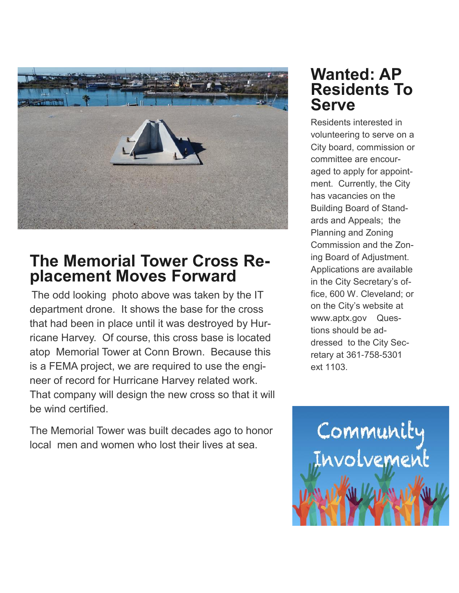

## **The Memorial Tower Cross Replacement Moves Forward**

The odd looking photo above was taken by the IT department drone. It shows the base for the cross that had been in place until it was destroyed by Hurricane Harvey. Of course, this cross base is located atop Memorial Tower at Conn Brown. Because this is a FEMA project, we are required to use the engineer of record for Hurricane Harvey related work. That company will design the new cross so that it will be wind certified.

The Memorial Tower was built decades ago to honor local men and women who lost their lives at sea.

### **Wanted: AP Residents To Serve**

Residents interested in volunteering to serve on a City board, commission or committee are encouraged to apply for appointment. Currently, the City has vacancies on the Building Board of Standards and Appeals; the Planning and Zoning Commission and the Zoning Board of Adjustment. Applications are available in the City Secretary's office, 600 W. Cleveland; or on the City's website at www.aptx.gov Questions should be addressed to the City Secretary at 361-758-5301 ext 1103.

Community<br>Involvement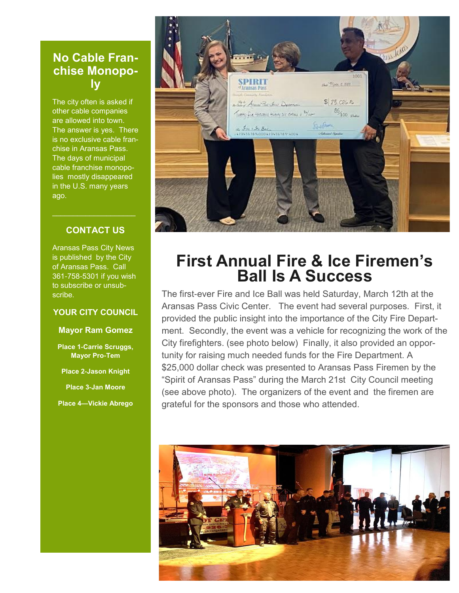#### **No Cable Franchise Monopoly**

The city often is asked if other cable companies are allowed into town. The answer is yes. There is no exclusive cable franchise in Aransas Pass. The days of municipal cable franchise monopolies mostly disappeared in the U.S. many years ago.

#### **CONTACT US**

Aransas Pass City News is published by the City of Aransas Pass. Call 361-758-5301 if you wish to subscribe or unsubscribe.

#### **YOUR CITY COUNCIL**

#### **Mayor Ram Gomez**

**Place 1-Carrie Scruggs, Mayor Pro-Tem**

**Place 2-Jason Knight**

**Place 3-Jan Moore**

**Place 4—Vickie Abrego**



### **First Annual Fire & Ice Firemen's Ball Is A Success**

The first-ever Fire and Ice Ball was held Saturday, March 12th at the Aransas Pass Civic Center. The event had several purposes. First, it provided the public insight into the importance of the City Fire Department. Secondly, the event was a vehicle for recognizing the work of the City firefighters. (see photo below) Finally, it also provided an opportunity for raising much needed funds for the Fire Department. A \$25,000 dollar check was presented to Aransas Pass Firemen by the "Spirit of Aransas Pass" during the March 21st City Council meeting (see above photo). The organizers of the event and the firemen are grateful for the sponsors and those who attended.